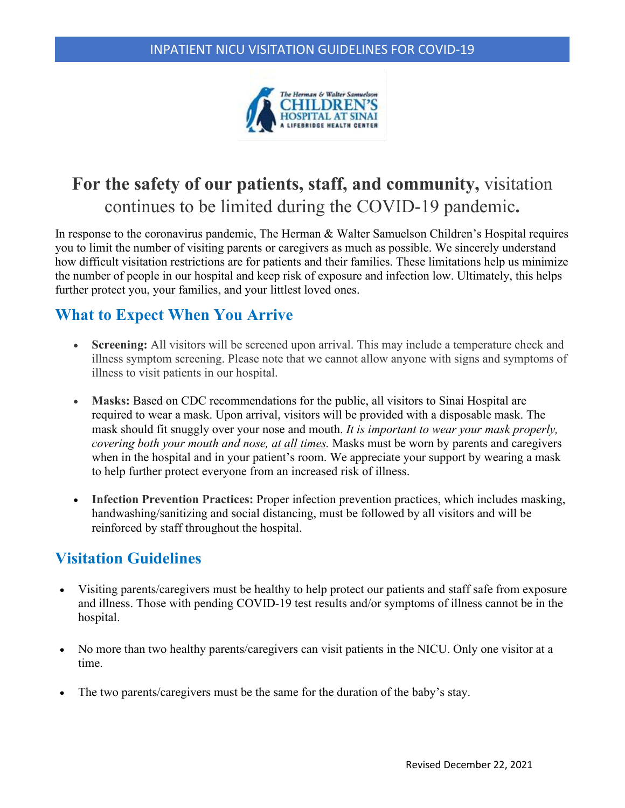

# **For the safety of our patients, staff, and community,** visitation continues to be limited during the COVID-19 pandemic**.**

In response to the coronavirus pandemic, The Herman & Walter Samuelson Children's Hospital requires you to limit the number of visiting parents or caregivers as much as possible. We sincerely understand how difficult visitation restrictions are for patients and their families. These limitations help us minimize the number of people in our hospital and keep risk of exposure and infection low. Ultimately, this helps further protect you, your families, and your littlest loved ones.

## **What to Expect When You Arrive**

- **Screening:** All visitors will be screened upon arrival. This may include a temperature check and illness symptom screening. Please note that we cannot allow anyone with signs and symptoms of illness to visit patients in our hospital.
- Masks: Based on CDC recommendations for the public, all visitors to Sinai Hospital are required to wear a mask. Upon arrival, visitors will be provided with a disposable mask. The mask should fit snuggly over your nose and mouth. *It is important to wear your mask properly, covering both your mouth and nose, at all times.* Masks must be worn by parents and caregivers when in the hospital and in your patient's room. We appreciate your support by wearing a mask to help further protect everyone from an increased risk of illness.
- **Infection Prevention Practices:** Proper infection prevention practices, which includes masking, handwashing/sanitizing and social distancing, must be followed by all visitors and will be reinforced by staff throughout the hospital.

## **Visitation Guidelines**

- Visiting parents/caregivers must be healthy to help protect our patients and staff safe from exposure and illness. Those with pending COVID-19 test results and/or symptoms of illness cannot be in the hospital.
- No more than two healthy parents/caregivers can visit patients in the NICU. Only one visitor at a time.
- The two parents/caregivers must be the same for the duration of the baby's stay.